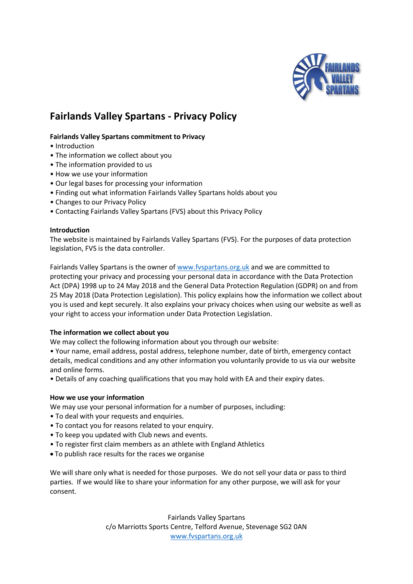

# **Fairlands Valley Spartans - Privacy Policy**

# **Fairlands Valley Spartans commitment to Privacy**

- Introduction
- The information we collect about you
- The information provided to us
- How we use your information
- Our legal bases for processing your information
- Finding out what information Fairlands Valley Spartans holds about you
- Changes to our Privacy Policy
- Contacting Fairlands Valley Spartans (FVS) about this Privacy Policy

## **Introduction**

The website is maintained by Fairlands Valley Spartans (FVS). For the purposes of data protection legislation, FVS is the data controller.

Fairlands Valley Spartans is the owner o[f www.fvspartans.org.uk](http://www.fvspartans.org.uk/) and we are committed to protecting your privacy and processing your personal data in accordance with the Data Protection Act (DPA) 1998 up to 24 May 2018 and the General Data Protection Regulation (GDPR) on and from 25 May 2018 (Data Protection Legislation). This policy explains how the information we collect about you is used and kept securely. It also explains your privacy choices when using our website as well as your right to access your information under Data Protection Legislation.

# **The information we collect about you**

We may collect the following information about you through our website:

• Your name, email address, postal address, telephone number, date of birth, emergency contact details, medical conditions and any other information you voluntarily provide to us via our website and online forms.

• Details of any coaching qualifications that you may hold with EA and their expiry dates.

## **How we use your information**

We may use your personal information for a number of purposes, including:

- To deal with your requests and enquiries.
- To contact you for reasons related to your enquiry.
- To keep you updated with Club news and events.
- To register first claim members as an athlete with England Athletics
- To publish race results for the races we organise

We will share only what is needed for those purposes. We do not sell your data or pass to third parties. If we would like to share your information for any other purpose, we will ask for your consent.

> Fairlands Valley Spartans c/o Marriotts Sports Centre, Telford Avenue, Stevenage SG2 0AN [www.fvspartans.org.uk](http://www.fvspartans.org.uk/)